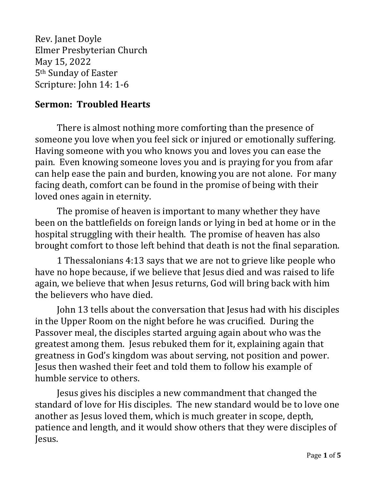Rev. Janet Doyle Elmer Presbyterian Church May 15, 2022 5th Sunday of Easter Scripture: John 14: 1-6

## **Sermon: Troubled Hearts**

There is almost nothing more comforting than the presence of someone you love when you feel sick or injured or emotionally suffering. Having someone with you who knows you and loves you can ease the pain. Even knowing someone loves you and is praying for you from afar can help ease the pain and burden, knowing you are not alone. For many facing death, comfort can be found in the promise of being with their loved ones again in eternity.

The promise of heaven is important to many whether they have been on the battlefields on foreign lands or lying in bed at home or in the hospital struggling with their health. The promise of heaven has also brought comfort to those left behind that death is not the final separation.

1 Thessalonians 4:13 says that we are not to grieve like people who have no hope because, if we believe that Jesus died and was raised to life again, we believe that when Jesus returns, God will bring back with him the believers who have died.

John 13 tells about the conversation that Jesus had with his disciples in the Upper Room on the night before he was crucified. During the Passover meal, the disciples started arguing again about who was the greatest among them. Jesus rebuked them for it, explaining again that greatness in God's kingdom was about serving, not position and power. Jesus then washed their feet and told them to follow his example of humble service to others.

Jesus gives his disciples a new commandment that changed the standard of love for His disciples. The new standard would be to love one another as Jesus loved them, which is much greater in scope, depth, patience and length, and it would show others that they were disciples of Jesus.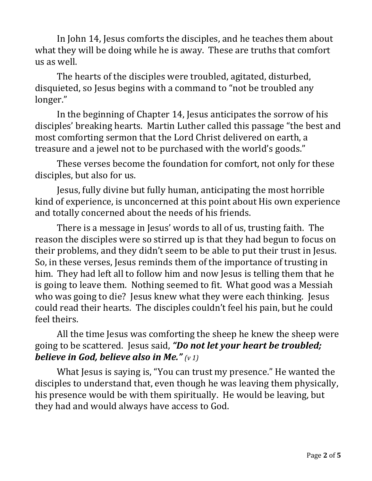In John 14, Jesus comforts the disciples, and he teaches them about what they will be doing while he is away. These are truths that comfort us as well.

The hearts of the disciples were troubled, agitated, disturbed, disquieted, so Jesus begins with a command to "not be troubled any longer."

In the beginning of Chapter 14, Jesus anticipates the sorrow of his disciples' breaking hearts. Martin Luther called this passage "the best and most comforting sermon that the Lord Christ delivered on earth, a treasure and a jewel not to be purchased with the world's goods."

These verses become the foundation for comfort, not only for these disciples, but also for us.

Jesus, fully divine but fully human, anticipating the most horrible kind of experience, is unconcerned at this point about His own experience and totally concerned about the needs of his friends.

There is a message in Jesus' words to all of us, trusting faith. The reason the disciples were so stirred up is that they had begun to focus on their problems, and they didn't seem to be able to put their trust in Jesus. So, in these verses, Jesus reminds them of the importance of trusting in him. They had left all to follow him and now Jesus is telling them that he is going to leave them. Nothing seemed to fit. What good was a Messiah who was going to die? Jesus knew what they were each thinking. Jesus could read their hearts. The disciples couldn't feel his pain, but he could feel theirs.

All the time Jesus was comforting the sheep he knew the sheep were going to be scattered. Jesus said, *"Do not let your heart be troubled; believe in God, believe also in Me." (v 1)*

What Jesus is saying is, "You can trust my presence." He wanted the disciples to understand that, even though he was leaving them physically, his presence would be with them spiritually. He would be leaving, but they had and would always have access to God.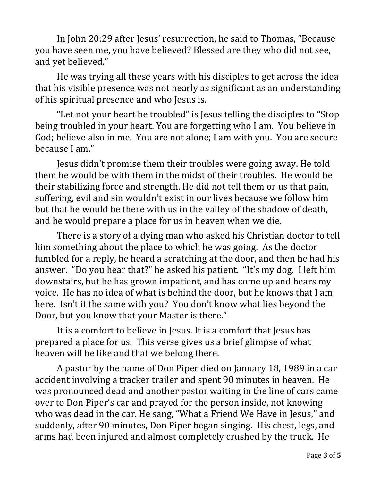In John 20:29 after Jesus' resurrection, he said to Thomas, "Because you have seen me, you have believed? Blessed are they who did not see, and yet believed."

He was trying all these years with his disciples to get across the idea that his visible presence was not nearly as significant as an understanding of his spiritual presence and who Jesus is.

"Let not your heart be troubled" is Jesus telling the disciples to "Stop being troubled in your heart. You are forgetting who I am. You believe in God; believe also in me. You are not alone; I am with you. You are secure because I am."

Jesus didn't promise them their troubles were going away. He told them he would be with them in the midst of their troubles. He would be their stabilizing force and strength. He did not tell them or us that pain, suffering, evil and sin wouldn't exist in our lives because we follow him but that he would be there with us in the valley of the shadow of death, and he would prepare a place for us in heaven when we die.

There is a story of a dying man who asked his Christian doctor to tell him something about the place to which he was going. As the doctor fumbled for a reply, he heard a scratching at the door, and then he had his answer. "Do you hear that?" he asked his patient. "It's my dog. I left him downstairs, but he has grown impatient, and has come up and hears my voice. He has no idea of what is behind the door, but he knows that I am here. Isn't it the same with you? You don't know what lies beyond the Door, but you know that your Master is there."

It is a comfort to believe in Jesus. It is a comfort that Jesus has prepared a place for us. This verse gives us a brief glimpse of what heaven will be like and that we belong there.

A pastor by the name of Don Piper died on January 18, 1989 in a car accident involving a tracker trailer and spent 90 minutes in heaven. He was pronounced dead and another pastor waiting in the line of cars came over to Don Piper's car and prayed for the person inside, not knowing who was dead in the car. He sang, "What a Friend We Have in Jesus," and suddenly, after 90 minutes, Don Piper began singing. His chest, legs, and arms had been injured and almost completely crushed by the truck. He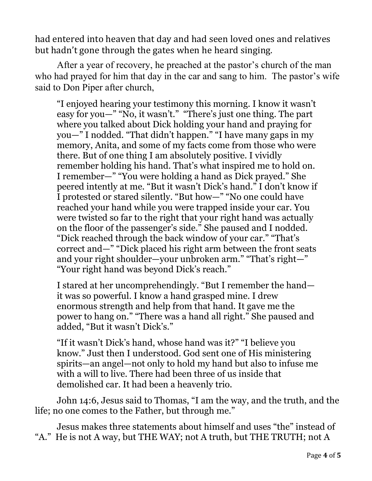had entered into heaven that day and had seen loved ones and relatives but hadn't gone through the gates when he heard singing.

After a year of recovery, he preached at the pastor's church of the man who had prayed for him that day in the car and sang to him. The pastor's wife said to Don Piper after church,

"I enjoyed hearing your testimony this morning. I know it wasn't easy for you—" "No, it wasn't." "There's just one thing. The part where you talked about Dick holding your hand and praying for you—" I nodded. "That didn't happen." "I have many gaps in my memory, Anita, and some of my facts come from those who were there. But of one thing I am absolutely positive. I vividly remember holding his hand. That's what inspired me to hold on. I remember—" "You were holding a hand as Dick prayed." She peered intently at me. "But it wasn't Dick's hand." I don't know if I protested or stared silently. "But how—" "No one could have reached your hand while you were trapped inside your car. You were twisted so far to the right that your right hand was actually on the floor of the passenger's side." She paused and I nodded. "Dick reached through the back window of your car." "That's correct and—" "Dick placed his right arm between the front seats and your right shoulder—your unbroken arm." "That's right—" "Your right hand was beyond Dick's reach."

I stared at her uncomprehendingly. "But I remember the hand it was so powerful. I know a hand grasped mine. I drew enormous strength and help from that hand. It gave me the power to hang on." "There was a hand all right." She paused and added, "But it wasn't Dick's."

"If it wasn't Dick's hand, whose hand was it?" "I believe you know." Just then I understood. God sent one of His ministering spirits—an angel—not only to hold my hand but also to infuse me with a will to live. There had been three of us inside that demolished car. It had been a heavenly trio.

John 14:6, Jesus said to Thomas, "I am the way, and the truth, and the life; no one comes to the Father, but through me."

Jesus makes three statements about himself and uses "the" instead of "A." He is not A way, but THE WAY; not A truth, but THE TRUTH; not A